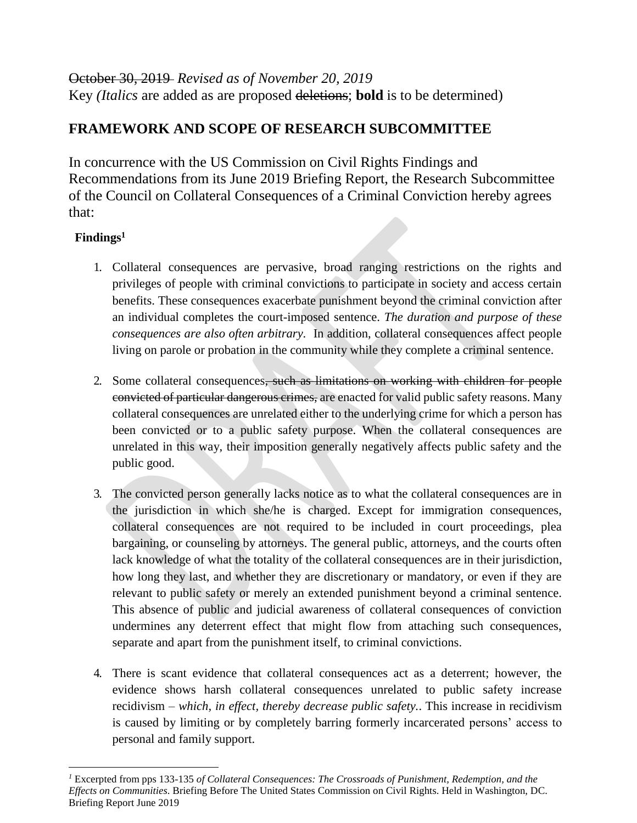## October 30, 2019 *Revised as of November 20, 2019* Key *(Italics* are added as are proposed deletions; **bold** is to be determined)

## **FRAMEWORK AND SCOPE OF RESEARCH SUBCOMMITTEE**

In concurrence with the US Commission on Civil Rights Findings and Recommendations from its June 2019 Briefing Report, the Research Subcommittee of the Council on Collateral Consequences of a Criminal Conviction hereby agrees that:

## **Findings<sup>1</sup>**

 $\overline{a}$ 

- 1. Collateral consequences are pervasive, broad ranging restrictions on the rights and privileges of people with criminal convictions to participate in society and access certain benefits. These consequences exacerbate punishment beyond the criminal conviction after an individual completes the court-imposed sentence. *The duration and purpose of these consequences are also often arbitrary.* In addition, collateral consequences affect people living on parole or probation in the community while they complete a criminal sentence.
- 2. Some collateral consequences, such as limitations on working with children for people convicted of particular dangerous crimes, are enacted for valid public safety reasons. Many collateral consequences are unrelated either to the underlying crime for which a person has been convicted or to a public safety purpose. When the collateral consequences are unrelated in this way, their imposition generally negatively affects public safety and the public good.
- 3. The convicted person generally lacks notice as to what the collateral consequences are in the jurisdiction in which she/he is charged. Except for immigration consequences, collateral consequences are not required to be included in court proceedings, plea bargaining, or counseling by attorneys. The general public, attorneys, and the courts often lack knowledge of what the totality of the collateral consequences are in their jurisdiction, how long they last, and whether they are discretionary or mandatory, or even if they are relevant to public safety or merely an extended punishment beyond a criminal sentence. This absence of public and judicial awareness of collateral consequences of conviction undermines any deterrent effect that might flow from attaching such consequences, separate and apart from the punishment itself, to criminal convictions.
- 4. There is scant evidence that collateral consequences act as a deterrent; however, the evidence shows harsh collateral consequences unrelated to public safety increase recidivism *– which, in effect, thereby decrease public safety.*. This increase in recidivism is caused by limiting or by completely barring formerly incarcerated persons' access to personal and family support.

*<sup>1</sup>* Excerpted from pps 133-135 *of Collateral Consequences: The Crossroads of Punishment, Redemption, and the Effects on Communities*. Briefing Before The United States Commission on Civil Rights. Held in Washington, DC. Briefing Report June 2019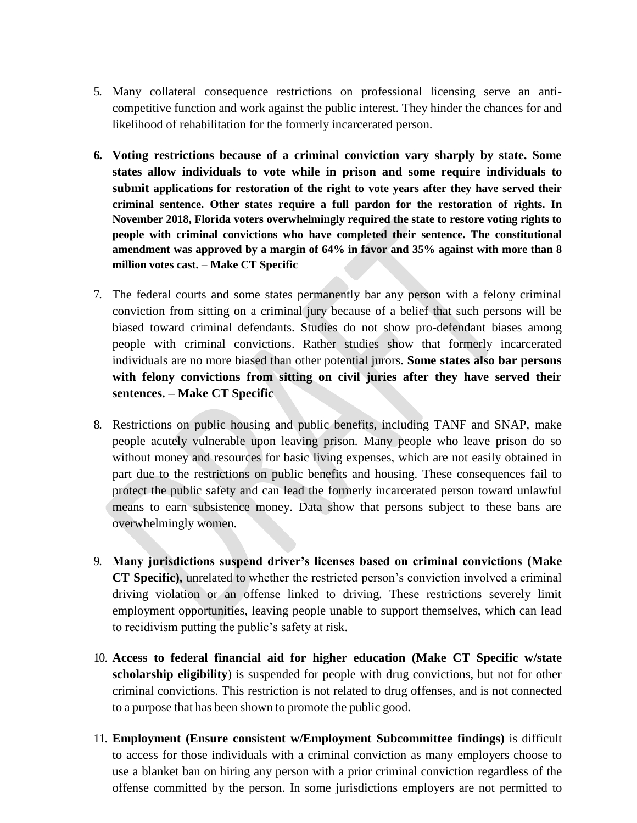- 5. Many collateral consequence restrictions on professional licensing serve an anticompetitive function and work against the public interest. They hinder the chances for and likelihood of rehabilitation for the formerly incarcerated person.
- **6. Voting restrictions because of a criminal conviction vary sharply by state. Some states allow individuals to vote while in prison and some require individuals to submit applications for restoration of the right to vote years after they have served their criminal sentence. Other states require a full pardon for the restoration of rights. In November 2018, Florida voters overwhelmingly required the state to restore voting rights to people with criminal convictions who have completed their sentence. The constitutional amendment was approved by a margin of 64% in favor and 35% against with more than 8 million votes cast. – Make CT Specific**
- 7. The federal courts and some states permanently bar any person with a felony criminal conviction from sitting on a criminal jury because of a belief that such persons will be biased toward criminal defendants. Studies do not show pro-defendant biases among people with criminal convictions. Rather studies show that formerly incarcerated individuals are no more biased than other potential jurors. **Some states also bar persons with felony convictions from sitting on civil juries after they have served their sentences. – Make CT Specific**
- 8. Restrictions on public housing and public benefits, including TANF and SNAP, make people acutely vulnerable upon leaving prison. Many people who leave prison do so without money and resources for basic living expenses, which are not easily obtained in part due to the restrictions on public benefits and housing. These consequences fail to protect the public safety and can lead the formerly incarcerated person toward unlawful means to earn subsistence money. Data show that persons subject to these bans are overwhelmingly women.
- 9. **Many jurisdictions suspend driver's licenses based on criminal convictions (Make CT Specific),** unrelated to whether the restricted person's conviction involved a criminal driving violation or an offense linked to driving. These restrictions severely limit employment opportunities, leaving people unable to support themselves, which can lead to recidivism putting the public's safety at risk.
- 10. **Access to federal financial aid for higher education (Make CT Specific w/state scholarship eligibility**) is suspended for people with drug convictions, but not for other criminal convictions. This restriction is not related to drug offenses, and is not connected to a purpose that has been shown to promote the public good.
- 11. **Employment (Ensure consistent w/Employment Subcommittee findings)** is difficult to access for those individuals with a criminal conviction as many employers choose to use a blanket ban on hiring any person with a prior criminal conviction regardless of the offense committed by the person. In some jurisdictions employers are not permitted to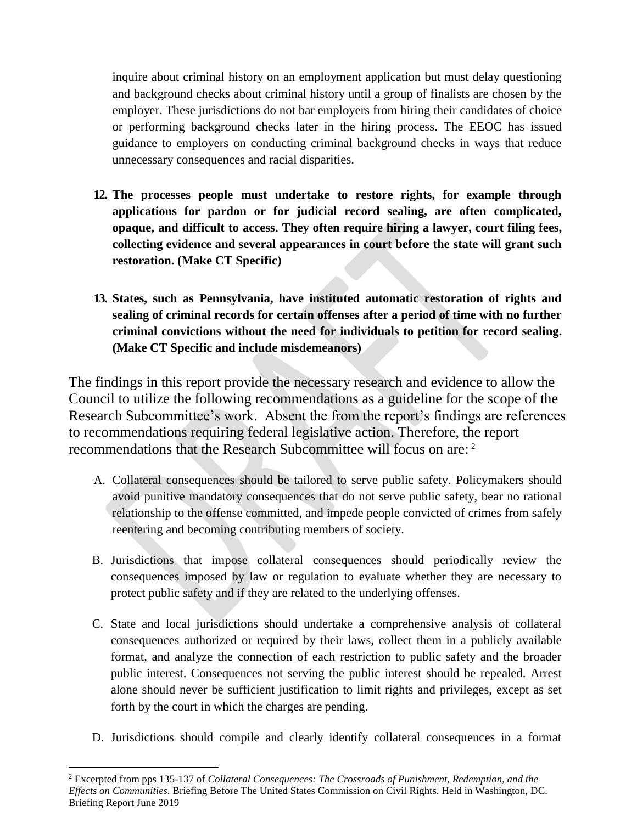inquire about criminal history on an employment application but must delay questioning and background checks about criminal history until a group of finalists are chosen by the employer. These jurisdictions do not bar employers from hiring their candidates of choice or performing background checks later in the hiring process. The EEOC has issued guidance to employers on conducting criminal background checks in ways that reduce unnecessary consequences and racial disparities.

- **12. The processes people must undertake to restore rights, for example through applications for pardon or for judicial record sealing, are often complicated, opaque, and difficult to access. They often require hiring a lawyer, court filing fees, collecting evidence and several appearances in court before the state will grant such restoration. (Make CT Specific)**
- **13. States, such as Pennsylvania, have instituted automatic restoration of rights and sealing of criminal records for certain offenses after a period of time with no further criminal convictions without the need for individuals to petition for record sealing. (Make CT Specific and include misdemeanors)**

The findings in this report provide the necessary research and evidence to allow the Council to utilize the following recommendations as a guideline for the scope of the Research Subcommittee's work. Absent the from the report's findings are references to recommendations requiring federal legislative action. Therefore, the report recommendations that the Research Subcommittee will focus on are: <sup>2</sup>

- A. Collateral consequences should be tailored to serve public safety. Policymakers should avoid punitive mandatory consequences that do not serve public safety, bear no rational relationship to the offense committed, and impede people convicted of crimes from safely reentering and becoming contributing members of society.
- B. Jurisdictions that impose collateral consequences should periodically review the consequences imposed by law or regulation to evaluate whether they are necessary to protect public safety and if they are related to the underlying offenses.
- C. State and local jurisdictions should undertake a comprehensive analysis of collateral consequences authorized or required by their laws, collect them in a publicly available format, and analyze the connection of each restriction to public safety and the broader public interest. Consequences not serving the public interest should be repealed. Arrest alone should never be sufficient justification to limit rights and privileges, except as set forth by the court in which the charges are pending.
- D. Jurisdictions should compile and clearly identify collateral consequences in a format

 $\overline{a}$ 

<sup>2</sup> Excerpted from pps 135-137 of *Collateral Consequences: The Crossroads of Punishment, Redemption, and the Effects on Communities*. Briefing Before The United States Commission on Civil Rights. Held in Washington, DC. Briefing Report June 2019